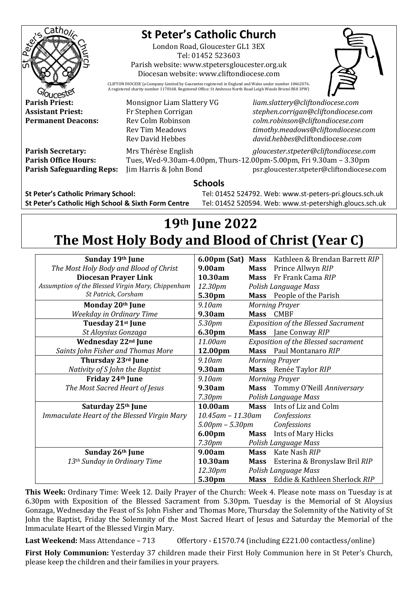

## **St Peter's Catholic Church**

London Road, Gloucester GL1 3EX Tel: 01452 523603

Parish website: www.stpetersgloucester.org.uk Diocesan website: www.cliftondiocese.com



CLIFTON DIOCESE (a Company Limited by Guarantee registered in England and Wales under number 10462076. A registered charity number 1170168. Registered Office: St Ambrose North Road Leigh Woods Bristol BS8 3PW)

**Parish Priest:** Monsignor Liam Slattery VG *liam.slattery@cliftondiocese.com* **Assistant Priest:** Fr Stephen Corrigan *stephen.corrigan@cliftondiocese.com* **Permanent Deacons:** Rev Colm Robinson *colm.robinson@cliftondiocese.com* Rev Tim Meadows *timothy.meadows@cliftondiocese.com* Rev David Hebbes *david.hebbes@*cliftondiocese*.com*

**Parish Secretary:** Mrs Thérèse English *gloucester.stpeter@cliftondiocese.com* **Parish Office Hours:** Tues, Wed-9.30am-4.00pm, Thurs-12.00pm-5.00pm, Fri 9.30am – 3.30pm **Parish Safeguarding Reps:** Jim Harris & John Bond psr.gloucester.stpeter@cliftondiocese.com

## **Schools**

**St Peter's Catholic Primary School:** Tel: 01452 524792. Web: www.st-peters-pri.gloucs.sch.uk **St Peter's Catholic High School & Sixth Form Centre** Tel: 01452 520594. Web: www.st-petershigh.gloucs.sch.uk

## **19th June 2022 The Most Holy Body and Blood of Christ (Year C)**

| Sunday 19th June                                  | 6.00pm (Sat)                         |                       | Mass Kathleen & Brendan Barrett RIP        |
|---------------------------------------------------|--------------------------------------|-----------------------|--------------------------------------------|
| The Most Holy Body and Blood of Christ            | 9.00am                               | <b>Mass</b>           | Prince Allwyn RIP                          |
| <b>Diocesan Prayer Link</b>                       | 10.30am                              | <b>Mass</b>           | Fr Frank Cama RIP                          |
| Assumption of the Blessed Virgin Mary, Chippenham | 12.30pm                              | Polish Language Mass  |                                            |
| St Patrick, Corsham                               | 5.30pm                               |                       | Mass People of the Parish                  |
| Monday 20th June                                  | 9.10am                               | <b>Morning Prayer</b> |                                            |
| <b>Weekday in Ordinary Time</b>                   | 9.30am                               | Mass CMBF             |                                            |
| Tuesday 21 <sup>st</sup> June                     | 5.30pm                               |                       | <b>Exposition of the Blessed Sacrament</b> |
| St Aloysius Gonzaga                               | 6.30pm                               | <b>Mass</b>           | Jane Conway RIP                            |
| Wednesday 22 <sup>nd</sup> June                   | 11.00am                              |                       | <b>Exposition of the Blessed sacrament</b> |
| Saints John Fisher and Thomas More                | 12.00pm                              | <b>Mass</b>           | Paul Montanaro RIP                         |
| Thursday 23rd June                                | 9.10am                               | <b>Morning Prayer</b> |                                            |
| Nativity of S John the Baptist                    | 9.30am                               |                       | Mass Renée Taylor RIP                      |
| Friday 24th June                                  | $9.10$ am                            | <b>Morning Prayer</b> |                                            |
| The Most Sacred Heart of Jesus                    | 9.30am                               |                       | Mass Tommy O'Neill Anniversary             |
|                                                   | 7.30 <sub>pm</sub>                   |                       | Polish Language Mass                       |
| Saturday 25 <sup>th</sup> June                    | 10.00am                              |                       | Mass Ints of Liz and Colm                  |
| Immaculate Heart of the Blessed Virgin Mary       | $10.45$ am - $11.30$ am              |                       | Confessions                                |
|                                                   | $5.00$ pm $- 5.30$ pm<br>Confessions |                       |                                            |
|                                                   | 6.00pm                               | <b>Mass</b>           | Ints of Mary Hicks                         |
|                                                   | 7.30 <sub>pm</sub>                   |                       | Polish Language Mass                       |
| Sunday 26th June                                  | 9.00am                               | <b>Mass</b>           | Kate Nash RIP                              |
| 13 <sup>th</sup> Sunday in Ordinary Time          | 10.30am                              | <b>Mass</b>           | Esterina & Bronyslaw Bril RIP              |
|                                                   | 12.30pm                              | Polish Language Mass  |                                            |
|                                                   | 5.30pm                               |                       | Mass Eddie & Kathleen Sherlock RIP         |

**This Week:** Ordinary Time: Week 12. Daily Prayer of the Church: Week 4. Please note mass on Tuesday is at 6.30pm with Exposition of the Blessed Sacrament from 5.30pm. Tuesday is the Memorial of St Aloysius Gonzaga, Wednesday the Feast of Ss John Fisher and Thomas More, Thursday the Solemnity of the Nativity of St John the Baptist, Friday the Solemnity of the Most Sacred Heart of Jesus and Saturday the Memorial of the Immaculate Heart of the Blessed Virgin Mary.

**Last Weekend:** Mass Attendance – 713 Offertory - £1570.74 (including £221.00 contactless/online)

**First Holy Communion:** Yesterday 37 children made their First Holy Communion here in St Peter's Church, please keep the children and their families in your prayers.